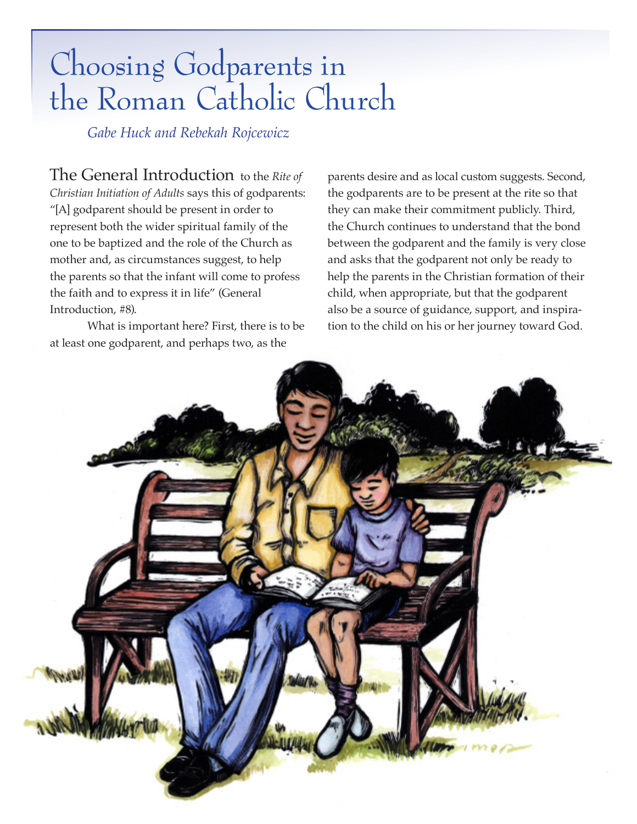## Choosing Godparents in the Roman Catholic Church

*Gabe Huck and Rebekah Rojcewicz*

The General Introduction to the *Rite of Christian Initiation of Adults* says this of godparents: "[A] godparent should be present in order to represent both the wider spiritual family of the one to be baptized and the role of the Church as mother and, as circumstances suggest, to help the parents so that the infant will come to profess the faith and to express it in life" (General Introduction, #8).

What is important here? First, there is to be at least one godparent, and perhaps two, as the

parents desire and as local custom suggests. Second, the godparents are to be present at the rite so that they can make their commitment publicly. Third, the Church continues to understand that the bond between the godparent and the family is very close and asks that the godparent not only be ready to help the parents in the Christian formation of their child, when appropriate, but that the godparent also be a source of guidance, support, and inspiration to the child on his or her journey toward God.